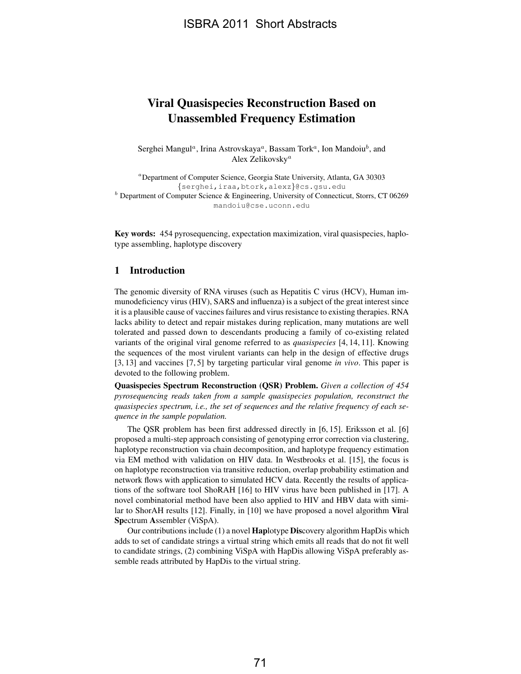# Viral Quasispecies Reconstruction Based on Unassembled Frequency Estimation

Serghei Mangul<sup>a</sup>, Irina Astrovskaya<sup>a</sup>, Bassam Tork<sup>a</sup>, Ion Mandoiu<sup>b</sup>, and Alex Zelikovsky<sup>a</sup>

<sup>a</sup>Department of Computer Science, Georgia State University, Atlanta, GA 30303 {serghei,iraa,btork,alexz}@cs.gsu.edu <sup>b</sup> Department of Computer Science & Engineering, University of Connecticut, Storrs, CT 06269 mandoiu@cse.uconn.edu

Key words: 454 pyrosequencing, expectation maximization, viral quasispecies, haplotype assembling, haplotype discovery

## 1 Introduction

The genomic diversity of RNA viruses (such as Hepatitis C virus (HCV), Human immunodeficiency virus (HIV), SARS and influenza) is a subject of the great interest since it is a plausible cause of vaccines failures and virus resistance to existing therapies. RNA lacks ability to detect and repair mistakes during replication, many mutations are well tolerated and passed down to descendants producing a family of co-existing related variants of the original viral genome referred to as *quasispecies* [4, 14, 11]. Knowing the sequences of the most virulent variants can help in the design of effective drugs [3, 13] and vaccines [7, 5] by targeting particular viral genome *in vivo*. This paper is devoted to the following problem.

Quasispecies Spectrum Reconstruction (QSR) Problem. *Given a collection of 454 pyrosequencing reads taken from a sample quasispecies population, reconstruct the quasispecies spectrum, i.e., the set of sequences and the relative frequency of each sequence in the sample population.*

The QSR problem has been first addressed directly in [6, 15]. Eriksson et al. [6] proposed a multi-step approach consisting of genotyping error correction via clustering, haplotype reconstruction via chain decomposition, and haplotype frequency estimation via EM method with validation on HIV data. In Westbrooks et al. [15], the focus is on haplotype reconstruction via transitive reduction, overlap probability estimation and network flows with application to simulated HCV data. Recently the results of applications of the software tool ShoRAH [16] to HIV virus have been published in [17]. A novel combinatorial method have been also applied to HIV and HBV data with similar to ShorAH results [12]. Finally, in [10] we have proposed a novel algorithm Viral Spectrum Assembler (ViSpA).

Our contributions include (1) a novel Haplotype Discovery algorithm HapDis which adds to set of candidate strings a virtual string which emits all reads that do not fit well to candidate strings, (2) combining ViSpA with HapDis allowing ViSpA preferably assemble reads attributed by HapDis to the virtual string.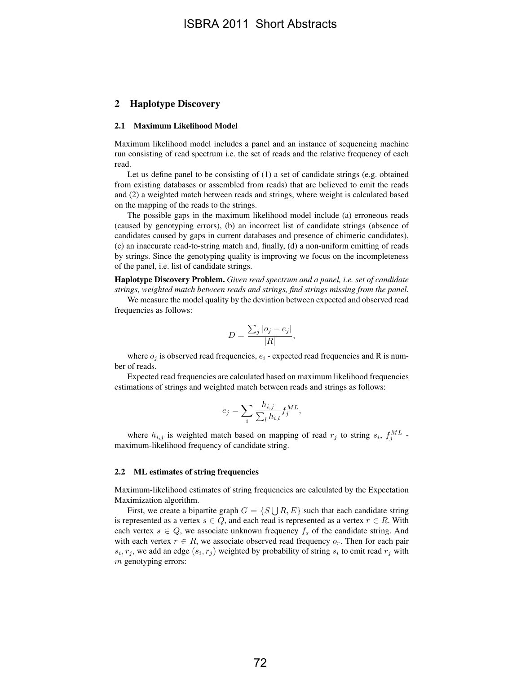## 2 Haplotype Discovery

#### 2.1 Maximum Likelihood Model

Maximum likelihood model includes a panel and an instance of sequencing machine run consisting of read spectrum i.e. the set of reads and the relative frequency of each read.

Let us define panel to be consisting of (1) a set of candidate strings (e.g. obtained from existing databases or assembled from reads) that are believed to emit the reads and (2) a weighted match between reads and strings, where weight is calculated based on the mapping of the reads to the strings.

The possible gaps in the maximum likelihood model include (a) erroneous reads (caused by genotyping errors), (b) an incorrect list of candidate strings (absence of candidates caused by gaps in current databases and presence of chimeric candidates), (c) an inaccurate read-to-string match and, finally, (d) a non-uniform emitting of reads by strings. Since the genotyping quality is improving we focus on the incompleteness of the panel, i.e. list of candidate strings.

Haplotype Discovery Problem. *Given read spectrum and a panel, i.e. set of candidate strings, weighted match between reads and strings, find strings missing from the panel.*

We measure the model quality by the deviation between expected and observed read frequencies as follows:

$$
D = \frac{\sum_{j} |o_j - e_j|}{|R|},
$$

where  $o_i$  is observed read frequencies,  $e_i$  - expected read frequencies and R is number of reads.

Expected read frequencies are calculated based on maximum likelihood frequencies estimations of strings and weighted match between reads and strings as follows:

$$
e_j = \sum_i \frac{h_{i,j}}{\sum_l h_{i,l}} f_j^{ML},
$$

where  $h_{i,j}$  is weighted match based on mapping of read  $r_j$  to string  $s_i$ ,  $f_j^{ML}$  maximum-likelihood frequency of candidate string.

#### 2.2 ML estimates of string frequencies

Maximum-likelihood estimates of string frequencies are calculated by the Expectation Maximization algorithm.

First, we create a bipartite graph  $G = \{S \cup R, E\}$  such that each candidate string is represented as a vertex  $s \in Q$ , and each read is represented as a vertex  $r \in R$ . With each vertex  $s \in Q$ , we associate unknown frequency  $f_s$  of the candidate string. And with each vertex  $r \in R$ , we associate observed read frequency  $o_r$ . Then for each pair  $s_i, r_j$ , we add an edge  $(s_i, r_j)$  weighted by probability of string  $s_i$  to emit read  $r_j$  with m genotyping errors: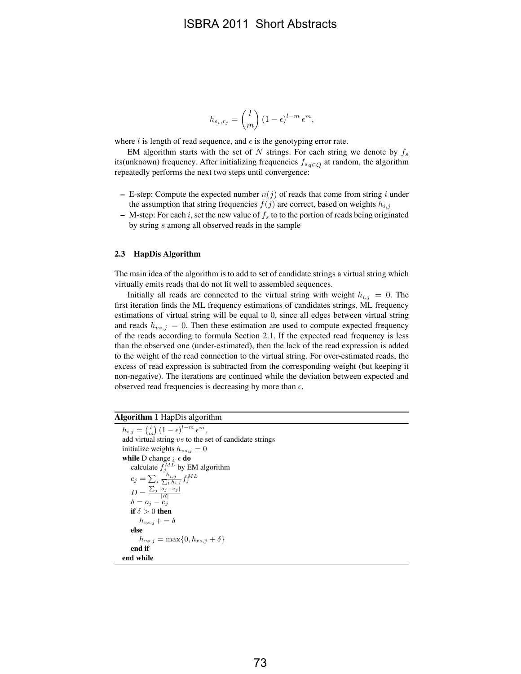## ISBRA 2011 Short Abstracts

$$
h_{s_i,r_j} = \binom{l}{m} \left(1 - \epsilon\right)^{l-m} \epsilon^m,
$$

where l is length of read sequence, and  $\epsilon$  is the genotyping error rate.

EM algorithm starts with the set of N strings. For each string we denote by  $f_s$ its(unknown) frequency. After initializing frequencies  $f_{sq\in Q}$  at random, the algorithm repeatedly performs the next two steps until convergence:

- E-step: Compute the expected number  $n(j)$  of reads that come from string i under the assumption that string frequencies  $f(j)$  are correct, based on weights  $h_{i,j}$
- M-step: For each i, set the new value of  $f_s$  to to the portion of reads being originated by string s among all observed reads in the sample

#### 2.3 HapDis Algorithm

The main idea of the algorithm is to add to set of candidate strings a virtual string which virtually emits reads that do not fit well to assembled sequences.

Initially all reads are connected to the virtual string with weight  $h_{i,j} = 0$ . The first iteration finds the ML frequency estimations of candidates strings, ML frequency estimations of virtual string will be equal to 0, since all edges between virtual string and reads  $h_{vs,j} = 0$ . Then these estimation are used to compute expected frequency of the reads according to formula Section 2.1. If the expected read frequency is less than the observed one (under-estimated), then the lack of the read expression is added to the weight of the read connection to the virtual string. For over-estimated reads, the excess of read expression is subtracted from the corresponding weight (but keeping it non-negative). The iterations are continued while the deviation between expected and observed read frequencies is decreasing by more than  $\epsilon$ .

#### Algorithm 1 HapDis algorithm

 $h_{i,j} = {l \choose m} (1 - \epsilon)^{l-m} \epsilon^m,$ add virtual string  $vs$  to the set of candidate strings initialize weights  $h_{vs,j} = 0$ while D change  $\iota \in$  do calculate  $f_j^{ML}$  by EM algorithm  $e_j = \sum_i \frac{h_{i,j}}{\sum_i h_i}$  $\frac{\tilde{h}_{i,j}}{l}\tilde{h}_{i,l}^{ML}$  $D = \frac{\sum_j |o_j - e_j|}{|R|}$ <br>  $\delta = o_j - e_j$ if  $\delta > 0$  then  $h_{vs,j}+=\delta$ else  $h_{vs,j} = \max\{0, h_{vs,j} + \delta\}$ end if end while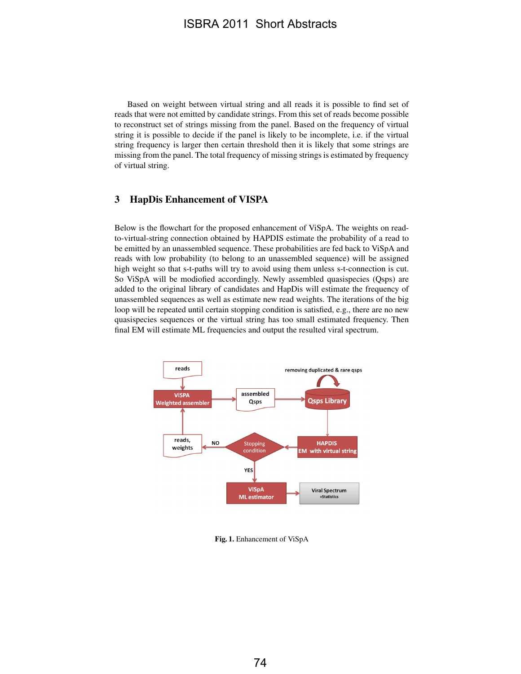## ISBRA 2011 Short Abstracts

Based on weight between virtual string and all reads it is possible to find set of reads that were not emitted by candidate strings. From this set of reads become possible to reconstruct set of strings missing from the panel. Based on the frequency of virtual string it is possible to decide if the panel is likely to be incomplete, i.e. if the virtual string frequency is larger then certain threshold then it is likely that some strings are missing from the panel. The total frequency of missing strings is estimated by frequency of virtual string.

## 3 HapDis Enhancement of VISPA

Below is the flowchart for the proposed enhancement of ViSpA. The weights on readto-virtual-string connection obtained by HAPDIS estimate the probability of a read to be emitted by an unassembled sequence. These probabilities are fed back to ViSpA and reads with low probability (to belong to an unassembled sequence) will be assigned high weight so that s-t-paths will try to avoid using them unless s-t-connection is cut. So ViSpA will be modiofied accordingly. Newly assembled quasispecies (Qsps) are added to the original library of candidates and HapDis will estimate the frequency of unassembled sequences as well as estimate new read weights. The iterations of the big loop will be repeated until certain stopping condition is satisfied, e.g., there are no new quasispecies sequences or the virtual string has too small estimated frequency. Then final EM will estimate ML frequencies and output the resulted viral spectrum.



Fig. 1. Enhancement of ViSpA